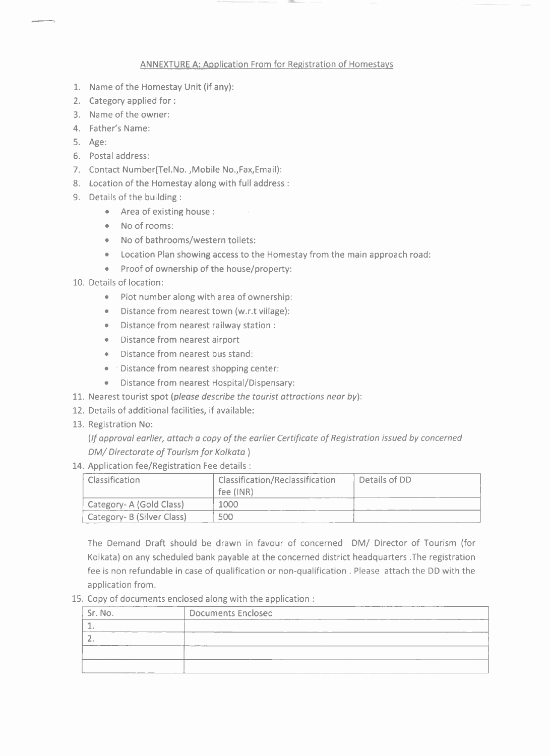### **ANNEXTURE A: Application From for Registration of Homestays**

- 1. Name of the Homestay Unit (if any):
- 2. Category applied for :
- 3. Name of the owner:
- 4. Father's Name:
- 5. Age:
- 6. Postal address:
- 7. Contact Number(Tel.No., Mobile No., Fax, Email):
- 8. Location of the Homestay along with full address :
- 9. Details of the building :
	- Area of existing house :
	- $\bullet$  No of rooms:
	- No of bathrooms/western toilets:
	- Location Plan showing access to the Homestay from the main approach road:
	- Proof of ownership of the house/property:
- 10. Details of location:
	- Plot number along with area of ownership:
	- Distance from nearest town (w.r.t village):
	- Distance from nearest railway station :
	- Distance from nearest airport
	- Distance from nearest bus stand:
	- · Distance from nearest shopping center:
	- · Distance from nearest Hospital/Dispensary:
- 11. Nearest tourist spot (please describe the tourist attractions near by):
- 12. Details of additional facilities, if available:
- 13. Registration No:

(If approval earlier, attach a copy of the earlier Certificate of Registration issued by concerned DM/Directorate of Tourism for Kolkata)

14. Application fee/Registration Fee details :

| <b>Classification</b>      | Classification/Reclassification | Details of DD |
|----------------------------|---------------------------------|---------------|
|                            | fee (INR)                       |               |
| Category-A (Gold Class)    | 1000                            |               |
| Category- B (Silver Class) | 500                             |               |

The Demand Draft should be drawn in favour of concerned DM/ Director of Tourism (for Kolkata) on any scheduled bank payable at the concerned district headquarters . The registration fee is non refundable in case of qualification or non-qualification . Please attach the DD with the application from.

15. Copy of documents enclosed along with the application :

| Sr. No. | <b>Documents Enclosed</b><br>________ |
|---------|---------------------------------------|
|         |                                       |
|         |                                       |
|         | _____                                 |
|         | <b>STATISTICS</b>                     |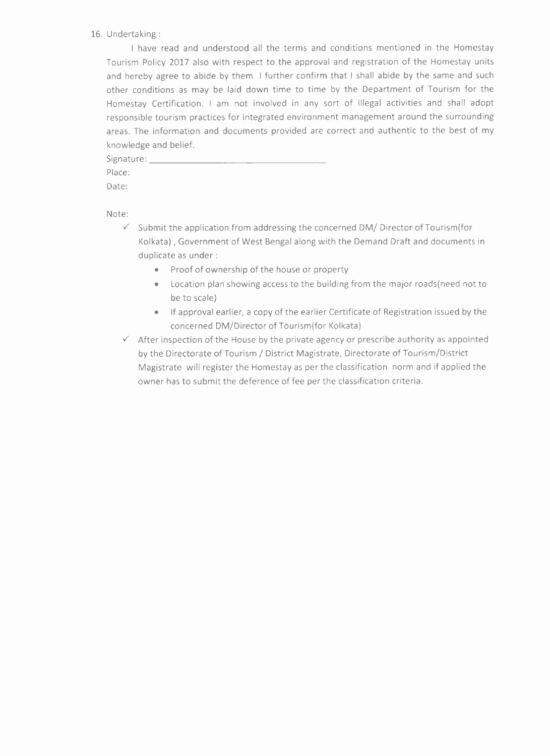#### 16. Undertaking:

I have read and understood all the terms and conditions mentioned in the Homestay Tourism Policy 2017 also with respect to the approval and registration of the Homestay units and hereby agree to abide by them. I further confirm that I shall abide by the same and such other conditions as may be laid down time to time by the Department of Tourism for the Homestay Certification. I am not involved in any sort of illegal activities and shall adopt responsible tourism practices for integrated environment management around the surrounding areas. The information and documents provided are correct and authentic to the best of my knowledge and belief.

| Signature: |  |  |
|------------|--|--|
| Place:     |  |  |
| Date:      |  |  |

Note:

- $\checkmark$  Submit the application from addressing the concerned DM/ Director of Tourism(for Kolkata), Government of West Bengal along with the Demand Draft and documents in duplicate as under:
	- Proof of ownership of the house or property
	- Location plan showing access to the building from the major roads(need not to be to scale)
	- If approval earlier, a copy of the earlier Certificate of Registration issued by the concerned DM/Director of Tourism(for Kolkata)
- $\checkmark$  After inspection of the House by the private agency or prescribe authority as appointed by the Directorate of Tourism / District Magistrate, Directorate of Tourism/District Magistrate will register the Homestay as per the classification norm and if applied the owner has to submit the deference of fee per the classification criteria.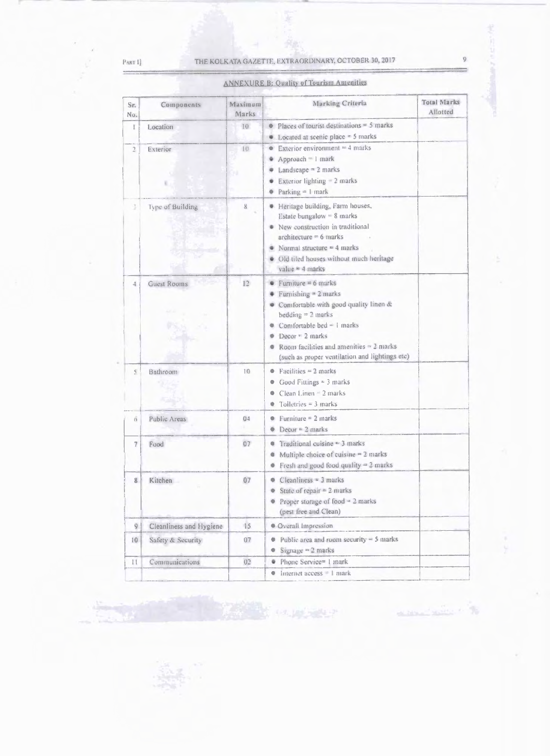### THE KOLKATA GAZETTE, EXTRAORDINARY, OCTOBER 30, 2017

 $\mathfrak{g}$ 

-

| Sr.<br>No.     | Components              | Maximum<br>Marks | Marking Criteria                                                                                                                                                                                                                                                                                   | <b>Total Marks</b><br>Allotted |
|----------------|-------------------------|------------------|----------------------------------------------------------------------------------------------------------------------------------------------------------------------------------------------------------------------------------------------------------------------------------------------------|--------------------------------|
| I              | Location                | 10               | Places of tourist destinations = $5$ marks<br>• Located at scenic place = 5 marks                                                                                                                                                                                                                  |                                |
| $\overline{a}$ | Exterior                | 10<br>œ          | $\bullet$ Exterior environment = 4 marks<br>Approach = 1 mark<br>Landscape $= 2$ marks<br>۰<br>Exterior lighting = 2 marks<br>Parking = 1 mark<br>۰                                                                                                                                                |                                |
| 3              | Type of Building        | 8                | · Heritage building, Farm houses,<br>Estate bungalow = $8$ marks<br>• New construction in traditional<br>architecture = 6 marks<br>$\bullet$ Normal structure = 4 marks<br>· Old tiled houses without much heritage<br>value = $4$ marks                                                           |                                |
| $\frac{1}{2}$  | Guest Rooms             | 12               | $\bullet$ Furniture = 6 marks<br>$\bullet$ Furnishing = 2 marks<br>• Comfortable with good quality linen &<br>$bedding = 2 marks$<br>$\bullet$ Comfortable bed = 1 marks<br>$\bullet$ Decor = 2 marks<br>Room facilities and amenities - 2 marks<br>(such as proper ventilation and lightings etc) |                                |
| $\overline{S}$ | Bathroom                | 10               | $\bullet$ Facilities = 2 marks<br>$\bullet$ Good Fittings = 3 marks<br>Clean Linen = 2 marks<br>Toiletries = 3 marks                                                                                                                                                                               |                                |
| $\overline{0}$ | Public Areas            | 04<br>×          | $\bullet$ Furniture = 2 marks<br>Decor = $2$ marks<br>$\bullet$                                                                                                                                                                                                                                    |                                |
| 7              | Food                    | 07               | $\bullet$ Traditional cuisine $\approx$ 3 marks<br>Multiple choice of cuisine $= 2$ marks<br>Fresh and good food quality = 2 marks<br>۰                                                                                                                                                            |                                |
| 8              | Kitchen                 | 07               | $\bullet$ Cleanliness $\approx$ 3 marks<br>State of repair = $2$ marks<br>• Proper storage of food = $2$ marks<br>(pest free and Clean)                                                                                                                                                            |                                |
| 9              | Cleanliness and Hygiene | 15               | · Overall Impression                                                                                                                                                                                                                                                                               |                                |
| 10             | Safety & Security       | 07               | Public area and room security $=$ 5 marks<br>۰<br>Signage = 2 marks                                                                                                                                                                                                                                |                                |
| $\mathbf{H}$   | Communications          | 02               | Phone Service= 1 mark<br>۰                                                                                                                                                                                                                                                                         |                                |
|                |                         |                  | • Internet access • I mark                                                                                                                                                                                                                                                                         |                                |

#### **ANNEXURE B: Quality of Tourism Amenities**

 $\ensuremath{\mathsf{Part}}\,1]$  $\frac{1}{1-\frac{1}{2}}\left( \frac{1}{\sqrt{2}}\right) ^{2}+\frac{1}{2}\left( \frac{1}{2}\right) ^{2}+\frac{1}{2}\left( \frac{1}{2}\right) ^{2}+\frac{1}{2}\left( \frac{1}{2}\right) ^{2}+\frac{1}{2}\left( \frac{1}{2}\right) ^{2}+\frac{1}{2}\left( \frac{1}{2}\right) ^{2}+\frac{1}{2}\left( \frac{1}{2}\right) ^{2}+\frac{1}{2}\left( \frac{1}{2}\right) ^{2}+\frac{1}{2}\left( \frac{1}{2}\right) ^{2}+\frac{1}{2}\left( \frac$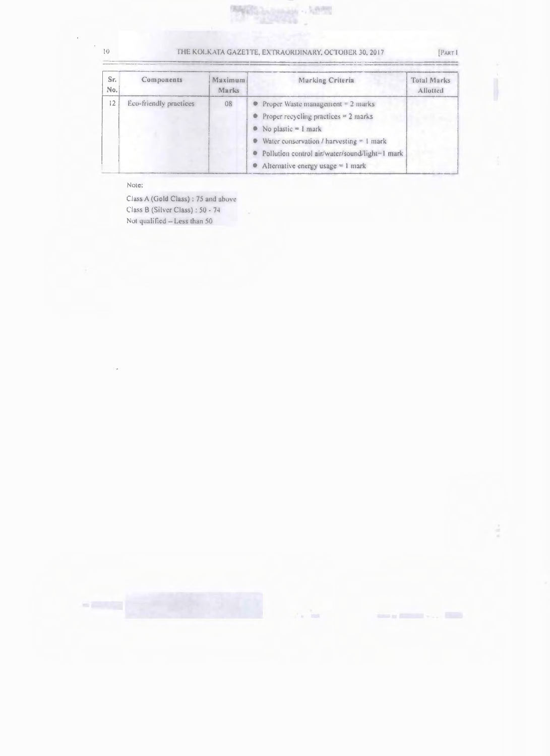#### THE KOLKATA GAZETTE, EXTRAORDINARY, OCTOBER 30, 2017

224444

da - 1.99%

|  |  | [PART |  |
|--|--|-------|--|
|  |  |       |  |

**Barry Barnett Street Barnett** 

| Sr.<br>No. | Components             | Maximum<br>Marks | Marking Criteria                                   | Total Marks<br>Allotted |
|------------|------------------------|------------------|----------------------------------------------------|-------------------------|
| 12         | Eco-friendly practices | 08               | • Proper Waste management $= 2$ marks              |                         |
|            |                        |                  | • Proper recycling practices $= 2$ marks           |                         |
|            |                        |                  | $\bullet$ No plastic $\approx$ 1 mark              |                         |
|            |                        |                  | $\bullet$ Water conservation / harvesting = 1 mark |                         |
|            |                        |                  | · Pollution control air/water/sound/light=1 mark   |                         |
|            |                        |                  | • Alternative energy usage $= 1$ mark              |                         |

Note:

Class A (Gold Class) : 75 and above Class B (Silver Class): 50 - 74 Not qualified - Less than 50

 $10\,$  $\equiv$ 

 $\bar{\mathcal{A}}$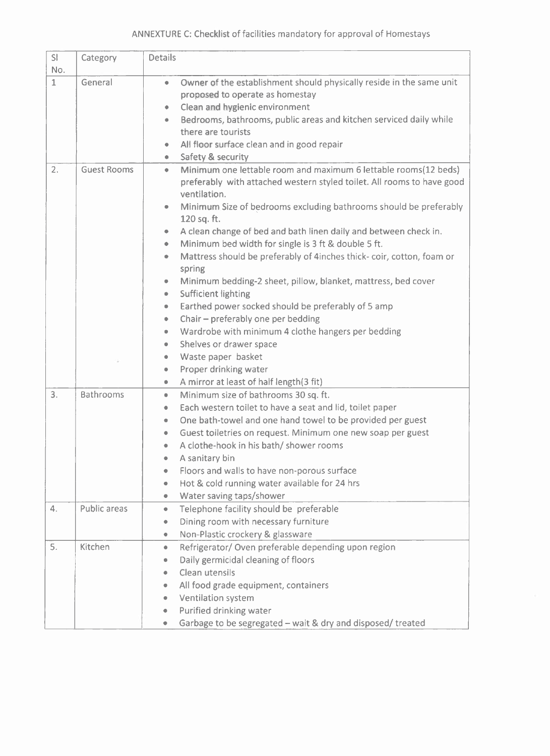| S <sub>l</sub> | Category           | <b>Details</b>                                                                                                                                                                                                                         |
|----------------|--------------------|----------------------------------------------------------------------------------------------------------------------------------------------------------------------------------------------------------------------------------------|
| No.            |                    |                                                                                                                                                                                                                                        |
| $\mathbf{1}$   | General            | Owner of the establishment should physically reside in the same unit<br>$\bullet$<br>proposed to operate as homestay<br>Clean and hygienic environment<br>۰<br>Bedrooms, bathrooms, public areas and kitchen serviced daily while<br>۰ |
|                |                    | there are tourists                                                                                                                                                                                                                     |
|                |                    | All floor surface clean and in good repair<br>۰                                                                                                                                                                                        |
|                |                    | Safety & security<br>٠                                                                                                                                                                                                                 |
| 2.             | <b>Guest Rooms</b> | Minimum one lettable room and maximum 6 lettable rooms(12 beds)<br>٠<br>preferably with attached western styled toilet. All rooms to have good<br>ventilation.                                                                         |
|                |                    | Minimum Size of bedrooms excluding bathrooms should be preferably<br>۰<br>120 sq. ft.                                                                                                                                                  |
|                |                    | A clean change of bed and bath linen daily and between check in.<br>۰                                                                                                                                                                  |
|                |                    | Minimum bed width for single is 3 ft & double 5 ft.<br>۰                                                                                                                                                                               |
|                |                    | Mattress should be preferably of 4inches thick-coir, cotton, foam or<br>۰<br>spring                                                                                                                                                    |
|                |                    | Minimum bedding-2 sheet, pillow, blanket, mattress, bed cover<br>۰                                                                                                                                                                     |
|                |                    | <b>Sufficient lighting</b><br>۰                                                                                                                                                                                                        |
|                |                    | Earthed power socked should be preferably of 5 amp<br>۰                                                                                                                                                                                |
|                |                    | Chair - preferably one per bedding<br>۰                                                                                                                                                                                                |
|                |                    | Wardrobe with minimum 4 clothe hangers per bedding<br>۰                                                                                                                                                                                |
|                |                    | Shelves or drawer space<br>۰                                                                                                                                                                                                           |
|                |                    | Waste paper basket<br>۰                                                                                                                                                                                                                |
|                |                    | Proper drinking water<br>۰                                                                                                                                                                                                             |
|                |                    | A mirror at least of half length(3 fit)<br>$\bullet$                                                                                                                                                                                   |
| 3.             | Bathrooms          | Minimum size of bathrooms 30 sq. ft.<br>$\bullet$                                                                                                                                                                                      |
|                |                    | Each western toilet to have a seat and lid, toilet paper<br>۰                                                                                                                                                                          |
|                |                    | One bath-towel and one hand towel to be provided per guest<br>۰                                                                                                                                                                        |
|                |                    | Guest toiletries on request. Minimum one new soap per guest<br>۰                                                                                                                                                                       |
|                |                    | A clothe-hook in his bath/ shower rooms<br>۰                                                                                                                                                                                           |
|                |                    | A sanitary bin<br>۰                                                                                                                                                                                                                    |
|                |                    | Floors and walls to have non-porous surface<br>۰                                                                                                                                                                                       |
|                |                    | Hot & cold running water available for 24 hrs<br>۰                                                                                                                                                                                     |
|                |                    | Water saving taps/shower<br>۰                                                                                                                                                                                                          |
| 4.             | Public areas       | Telephone facility should be preferable<br>۰                                                                                                                                                                                           |
|                |                    | Dining room with necessary furniture<br>۰                                                                                                                                                                                              |
|                |                    | Non-Plastic crockery & glassware<br>۰                                                                                                                                                                                                  |
| 5.             | Kitchen            | Refrigerator/ Oven preferable depending upon region<br>۰                                                                                                                                                                               |
|                |                    | Daily germicidal cleaning of floors<br>۰                                                                                                                                                                                               |
|                |                    | Clean utensils<br>۰                                                                                                                                                                                                                    |
|                |                    | All food grade equipment, containers<br>۰                                                                                                                                                                                              |
|                |                    | Ventilation system<br>۰                                                                                                                                                                                                                |
|                |                    | Purified drinking water<br>۰                                                                                                                                                                                                           |
|                |                    | Garbage to be segregated - wait & dry and disposed/treated<br>۰                                                                                                                                                                        |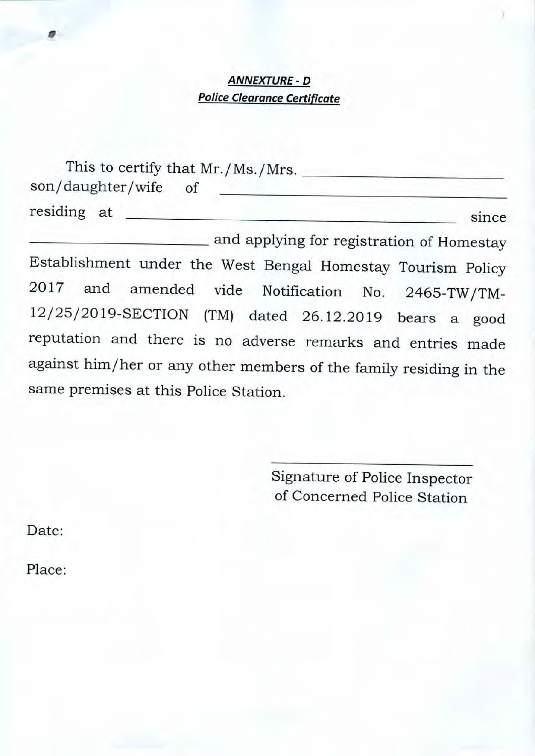# *ANNEXTURE - D Police Clearance Certificate*

This to certify that Mr./Ms./Mrs. \_ son/daughter/wife residing at since

and applying for registration of Homestay Establishment under the West Bengal Homestay Tourism Policy 2017 and amended vide Notification No. 2465-TW/TM-12/25/2019-SECTION (TM) dated 26.12.2019 bears <sup>a</sup> good reputation and there is no adverse remarks and entries made against him/her or any other members of the family residing in the same premises at this Police Station.

> Signature of Police Inspector of Concerned Police Station

Date:

Place: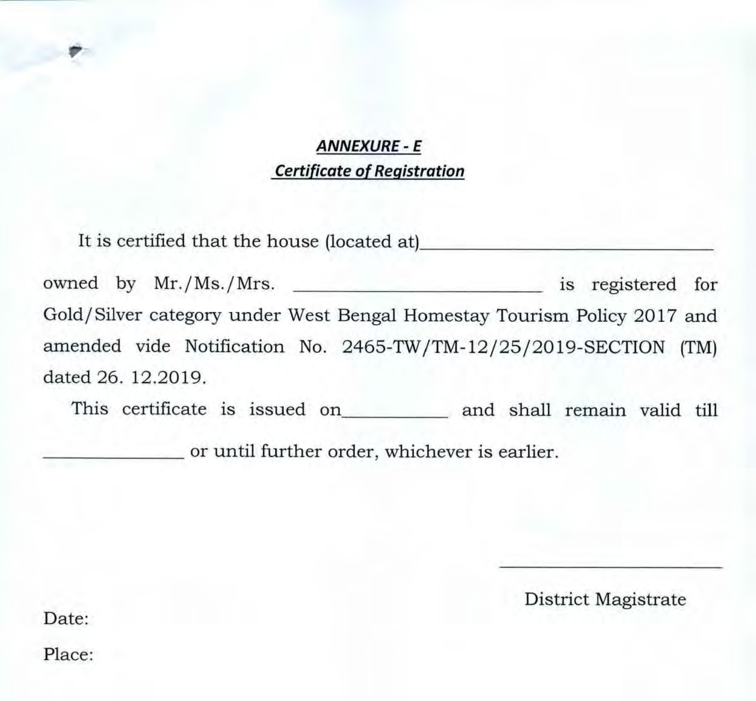# *ANNEXURE-E Certificate of Registration*

It is certified that the house (located at) \_

owned by Mr./Ms./Mrs. is registered for Gold/Silver category under West Bengal Homestay Tourism Policy 2017 and amended vide Notification No. 2465-TW/TM-12/25/2019-SECTION (TM) dated 26. 12.2019.

ed 26. 12.2019.<br>This certificate is issued on\_\_\_\_\_\_\_\_\_\_\_ and shall remain valid till \_\_\_\_\_\_\_ or until further order, whichever is earlier.

District Magistrate

Date:

Place: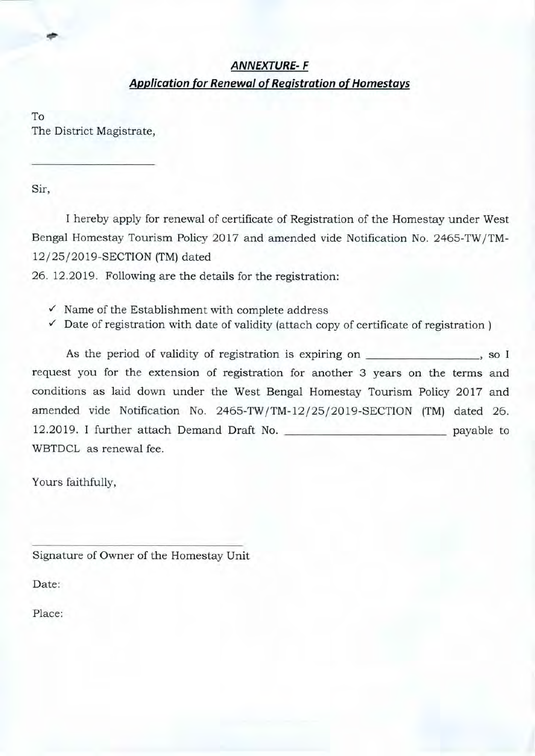# *ANNEXTURE- F Application for Renewal of Registration of Homestays*

To The District Magistrate,

Sir,

<sup>I</sup> hereby apply for renewal of certificate of Registration of the Homestay under West Bengal Homestay Tourism Policy 2017 and amended vide Notification No. 2465-TW/TM-12/25/2019-SECTION (TM) dated

26. 12.2019. Following are the details for the registration:

- $\checkmark$  Name of the Establishment with complete address
- $\checkmark$  Date of registration with date of validity (attach copy of certificate of registration)

As the period of validity of registration is expiring on \_\_\_\_\_\_\_\_\_\_\_\_\_, so I request you for the extension of registration for another 3 years on the terms and conditions as laid down under the West Bengal Homestay Tourism Policy 2017 and amended vide Notification No. 2465-TW/TM-12/25/2019-SECTION (TM) dated 26. 12.2019. <sup>I</sup> further attach Demand Draft No. ------------- payable to WBTDCL as renewal fee.

Yours faithfully,

Signature of Owner of the Homestay Unit

Date:

Place: